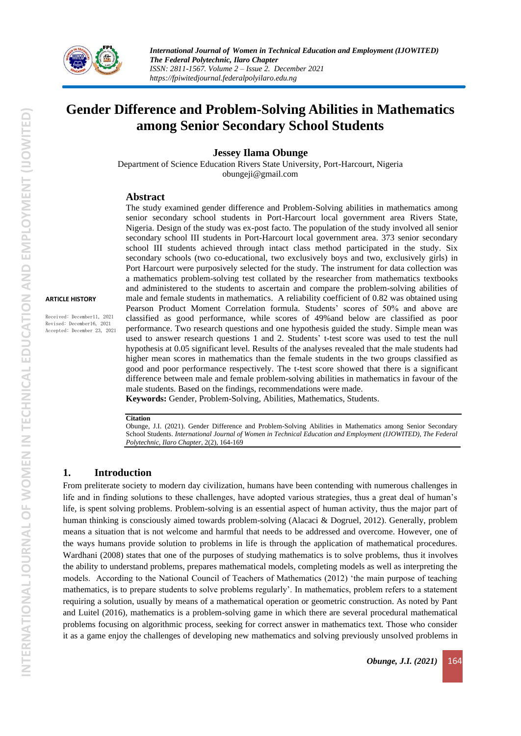

# **Gender Difference and Problem-Solving Abilities in Mathematics among Senior Secondary School Students**

#### **Jessey Ilama Obunge**

Department of Science Education Rivers State University, Port-Harcourt, Nigeria [obungeji@gmail.com](mailto:obungeji@gmail.com)

### **Abstract**

**ARTICLE HISTORY** Received: December11, 2021

Revised: December16, 2021 Accepted: December 23, 2021 The study examined gender difference and Problem-Solving abilities in mathematics among senior secondary school students in Port-Harcourt local government area Rivers State, Nigeria. Design of the study was ex-post facto. The population of the study involved all senior secondary school III students in Port-Harcourt local government area. 373 senior secondary school III students achieved through intact class method participated in the study. Six secondary schools (two co-educational, two exclusively boys and two, exclusively girls) in Port Harcourt were purposively selected for the study. The instrument for data collection was a mathematics problem-solving test collated by the researcher from mathematics textbooks and administered to the students to ascertain and compare the problem-solving abilities of male and female students in mathematics. A reliability coefficient of 0.82 was obtained using Pearson Product Moment Correlation formula. Students' scores of 50% and above are classified as good performance, while scores of 49%and below are classified as poor performance. Two research questions and one hypothesis guided the study. Simple mean was used to answer research questions 1 and 2. Students' t-test score was used to test the null hypothesis at 0.05 significant level. Results of the analyses revealed that the male students had higher mean scores in mathematics than the female students in the two groups classified as good and poor performance respectively. The t-test score showed that there is a significant difference between male and female problem-solving abilities in mathematics in favour of the male students. Based on the findings, recommendations were made.

**Keywords:** Gender, Problem-Solving, Abilities, Mathematics, Students.

#### **Citation**

Obunge, J.I. (2021). Gender Difference and Problem-Solving Abilities in Mathematics among Senior Secondary School Students. *International Journal of Women in Technical Education and Employment (IJOWITED), The Federal Polytechnic, Ilaro Chapter*, 2(2), 164-169

## **1. Introduction**

From preliterate society to modern day civilization, humans have been contending with numerous challenges in life and in finding solutions to these challenges, have adopted various strategies, thus a great deal of human's life, is spent solving problems. Problem-solving is an essential aspect of human activity, thus the major part of human thinking is consciously aimed towards problem-solving (Alacaci & Dogruel, 2012). Generally, problem means a situation that is not welcome and harmful that needs to be addressed and overcome. However, one of the ways humans provide solution to problems in life is through the application of mathematical procedures. Wardhani (2008) states that one of the purposes of studying mathematics is to solve problems, thus it involves the ability to understand problems, prepares mathematical models, completing models as well as interpreting the models. According to the National Council of Teachers of Mathematics (2012) 'the main purpose of teaching mathematics, is to prepare students to solve problems regularly'. In mathematics, problem refers to a statement requiring a solution, usually by means of a mathematical operation or geometric construction. As noted by Pant and Luitel (2016), mathematics is a problem-solving game in which there are several procedural mathematical problems focusing on algorithmic process, seeking for correct answer in mathematics text. Those who consider it as a game enjoy the challenges of developing new mathematics and solving previously unsolved problems in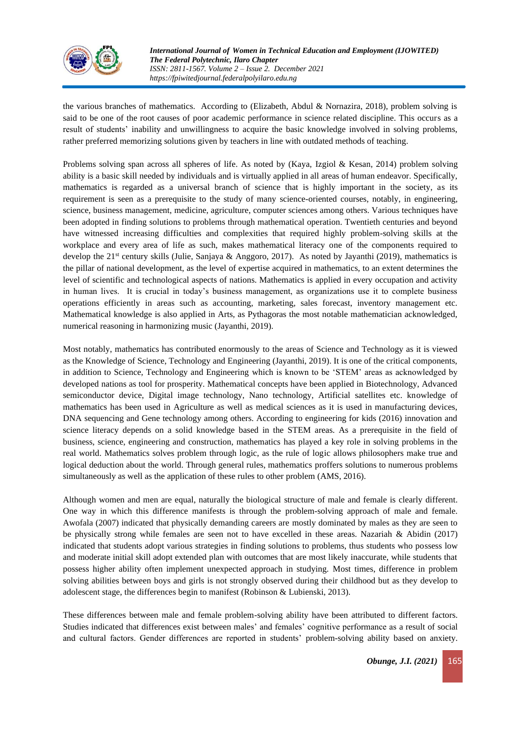

the various branches of mathematics. According to (Elizabeth, Abdul & Nornazira, 2018), problem solving is said to be one of the root causes of poor academic performance in science related discipline. This occurs as a result of students' inability and unwillingness to acquire the basic knowledge involved in solving problems, rather preferred memorizing solutions given by teachers in line with outdated methods of teaching.

Problems solving span across all spheres of life. As noted by (Kaya, Izgiol & Kesan, 2014) problem solving ability is a basic skill needed by individuals and is virtually applied in all areas of human endeavor. Specifically, mathematics is regarded as a universal branch of science that is highly important in the society, as its requirement is seen as a prerequisite to the study of many science-oriented courses, notably, in engineering, science, business management, medicine, agriculture, computer sciences among others. Various techniques have been adopted in finding solutions to problems through mathematical operation. Twentieth centuries and beyond have witnessed increasing difficulties and complexities that required highly problem-solving skills at the workplace and every area of life as such, makes mathematical literacy one of the components required to develop the  $21<sup>st</sup>$  century skills (Julie, Sanjaya & Anggoro, 2017). As noted by Jayanthi (2019), mathematics is the pillar of national development, as the level of expertise acquired in mathematics, to an extent determines the level of scientific and technological aspects of nations. Mathematics is applied in every occupation and activity in human lives. It is crucial in today's business management, as organizations use it to complete business operations efficiently in areas such as accounting, marketing, sales forecast, inventory management etc. Mathematical knowledge is also applied in Arts, as Pythagoras the most notable mathematician acknowledged, numerical reasoning in harmonizing music (Jayanthi, 2019).

Most notably, mathematics has contributed enormously to the areas of Science and Technology as it is viewed as the Knowledge of Science, Technology and Engineering (Jayanthi, 2019). It is one of the critical components, in addition to Science, Technology and Engineering which is known to be 'STEM' areas as acknowledged by developed nations as tool for prosperity. Mathematical concepts have been applied in Biotechnology, Advanced semiconductor device, Digital image technology, Nano technology, Artificial satellites etc. knowledge of mathematics has been used in Agriculture as well as medical sciences as it is used in manufacturing devices, DNA sequencing and Gene technology among others. According to engineering for kids (2016) innovation and science literacy depends on a solid knowledge based in the STEM areas. As a prerequisite in the field of business, science, engineering and construction, mathematics has played a key role in solving problems in the real world. Mathematics solves problem through logic, as the rule of logic allows philosophers make true and logical deduction about the world. Through general rules, mathematics proffers solutions to numerous problems simultaneously as well as the application of these rules to other problem (AMS, 2016).

Although women and men are equal, naturally the biological structure of male and female is clearly different. One way in which this difference manifests is through the problem-solving approach of male and female. Awofala (2007) indicated that physically demanding careers are mostly dominated by males as they are seen to be physically strong while females are seen not to have excelled in these areas. Nazariah & Abidin (2017) indicated that students adopt various strategies in finding solutions to problems, thus students who possess low and moderate initial skill adopt extended plan with outcomes that are most likely inaccurate, while students that possess higher ability often implement unexpected approach in studying. Most times, difference in problem solving abilities between boys and girls is not strongly observed during their childhood but as they develop to adolescent stage, the differences begin to manifest (Robinson & Lubienski, 2013).

These differences between male and female problem-solving ability have been attributed to different factors. Studies indicated that differences exist between males' and females' cognitive performance as a result of social and cultural factors. Gender differences are reported in students' problem-solving ability based on anxiety.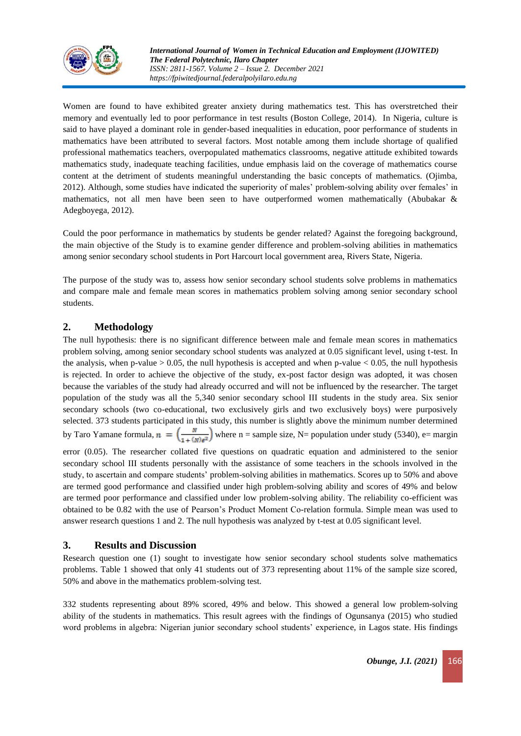

Women are found to have exhibited greater anxiety during mathematics test. This has overstretched their memory and eventually led to poor performance in test results (Boston College, 2014). In Nigeria, culture is said to have played a dominant role in gender-based inequalities in education, poor performance of students in mathematics have been attributed to several factors. Most notable among them include shortage of qualified professional mathematics teachers, overpopulated mathematics classrooms, negative attitude exhibited towards mathematics study, inadequate teaching facilities, undue emphasis laid on the coverage of mathematics course content at the detriment of students meaningful understanding the basic concepts of mathematics. (Ojimba, 2012). Although, some studies have indicated the superiority of males' problem-solving ability over females' in mathematics, not all men have been seen to have outperformed women mathematically (Abubakar & Adegboyega, 2012).

Could the poor performance in mathematics by students be gender related? Against the foregoing background, the main objective of the Study is to examine gender difference and problem-solving abilities in mathematics among senior secondary school students in Port Harcourt local government area, Rivers State, Nigeria.

The purpose of the study was to, assess how senior secondary school students solve problems in mathematics and compare male and female mean scores in mathematics problem solving among senior secondary school students.

# **2. Methodology**

The null hypothesis: there is no significant difference between male and female mean scores in mathematics problem solving, among senior secondary school students was analyzed at 0.05 significant level, using t-test. In the analysis, when p-value  $> 0.05$ , the null hypothesis is accepted and when p-value  $< 0.05$ , the null hypothesis is rejected. In order to achieve the objective of the study, ex-post factor design was adopted, it was chosen because the variables of the study had already occurred and will not be influenced by the researcher. The target population of the study was all the 5,340 senior secondary school III students in the study area. Six senior secondary schools (two co-educational, two exclusively girls and two exclusively boys) were purposively selected. 373 students participated in this study, this number is slightly above the minimum number determined by Taro Yamane formula,  $n = \left(\frac{N}{1+(N)e^2}\right)$  where n = sample size, N= population under study (5340), e= margin

error (0.05). The researcher collated five questions on quadratic equation and administered to the senior secondary school III students personally with the assistance of some teachers in the schools involved in the study, to ascertain and compare students' problem-solving abilities in mathematics. Scores up to 50% and above are termed good performance and classified under high problem-solving ability and scores of 49% and below are termed poor performance and classified under low problem-solving ability. The reliability co-efficient was obtained to be 0.82 with the use of Pearson's Product Moment Co-relation formula. Simple mean was used to answer research questions 1 and 2. The null hypothesis was analyzed by t-test at 0.05 significant level.

# **3. Results and Discussion**

Research question one (1) sought to investigate how senior secondary school students solve mathematics problems. Table 1 showed that only 41 students out of 373 representing about 11% of the sample size scored, 50% and above in the mathematics problem-solving test.

332 students representing about 89% scored, 49% and below. This showed a general low problem-solving ability of the students in mathematics. This result agrees with the findings of Ogunsanya (2015) who studied word problems in algebra: Nigerian junior secondary school students' experience, in Lagos state. His findings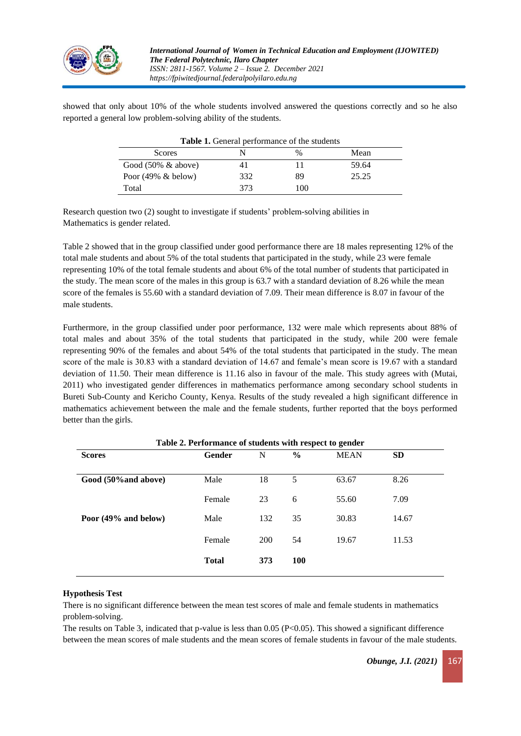

showed that only about 10% of the whole students involved answered the questions correctly and so he also reported a general low problem-solving ability of the students.

| Table 1. General performance of the students |     |      |       |  |  |  |
|----------------------------------------------|-----|------|-------|--|--|--|
| Scores                                       |     | $\%$ | Mean  |  |  |  |
| Good $(50\% \&$ above)                       | 41  |      | 59.64 |  |  |  |
| Poor $(49\% \& \text{below})$                | 332 | 89   | 25.25 |  |  |  |
| Total                                        | 373 | 100  |       |  |  |  |

Research question two (2) sought to investigate if students' problem-solving abilities in Mathematics is gender related.

Table 2 showed that in the group classified under good performance there are 18 males representing 12% of the total male students and about 5% of the total students that participated in the study, while 23 were female representing 10% of the total female students and about 6% of the total number of students that participated in the study. The mean score of the males in this group is 63.7 with a standard deviation of 8.26 while the mean score of the females is 55.60 with a standard deviation of 7.09. Their mean difference is 8.07 in favour of the male students.

Furthermore, in the group classified under poor performance, 132 were male which represents about 88% of total males and about 35% of the total students that participated in the study, while 200 were female representing 90% of the females and about 54% of the total students that participated in the study. The mean score of the male is 30.83 with a standard deviation of 14.67 and female's mean score is 19.67 with a standard deviation of 11.50. Their mean difference is 11.16 also in favour of the male. This study agrees with (Mutai, 2011) who investigated gender differences in mathematics performance among secondary school students in Bureti Sub-County and Kericho County, Kenya. Results of the study revealed a high significant difference in mathematics achievement between the male and the female students, further reported that the boys performed better than the girls.

| Table 2. Performance of students with respect to gender |              |     |               |             |           |  |
|---------------------------------------------------------|--------------|-----|---------------|-------------|-----------|--|
| <b>Scores</b>                                           | Gender       | N   | $\frac{6}{9}$ | <b>MEAN</b> | <b>SD</b> |  |
| Good (50% and above)                                    | Male         | 18  | 5             | 63.67       | 8.26      |  |
|                                                         | Female       | 23  | 6             | 55.60       | 7.09      |  |
| Poor (49% and below)                                    | Male         | 132 | 35            | 30.83       | 14.67     |  |
|                                                         | Female       | 200 | 54            | 19.67       | 11.53     |  |
|                                                         | <b>Total</b> | 373 | <b>100</b>    |             |           |  |

# **Hypothesis Test**

There is no significant difference between the mean test scores of male and female students in mathematics problem-solving.

The results on Table 3, indicated that p-value is less than 0.05 (P<0.05). This showed a significant difference between the mean scores of male students and the mean scores of female students in favour of the male students.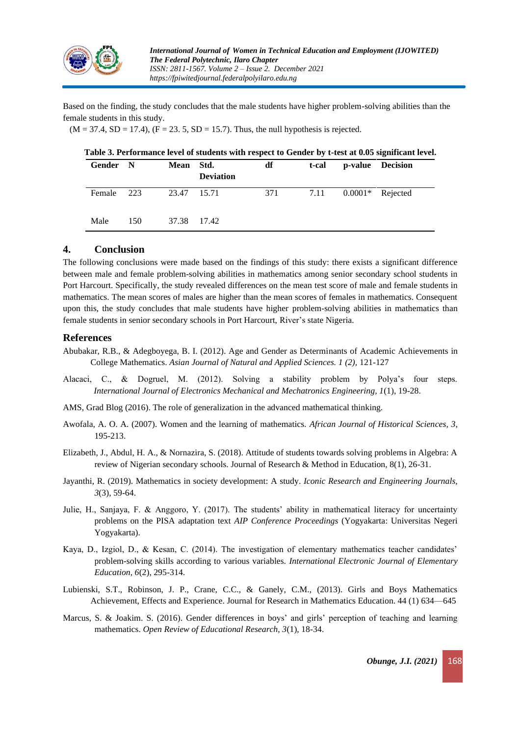

Based on the finding, the study concludes that the male students have higher problem-solving abilities than the female students in this study.

 $(M = 37.4, SD = 17.4)$ ,  $(F = 23.5, SD = 15.7)$ . Thus, the null hypothesis is rejected.

| Table 3. Performance level of students with respect to Gender by t-test at 0.05 significant level. |  |  |  |
|----------------------------------------------------------------------------------------------------|--|--|--|
|                                                                                                    |  |  |  |

| Gender N |     | Mean Std.   | <b>Deviation</b> | df  | t-cal p-value Decision  |  |
|----------|-----|-------------|------------------|-----|-------------------------|--|
| Female   | 223 | 23.47 15.71 |                  | 371 | 7.11 $0.0001*$ Rejected |  |
| Male     | 150 | 37.38 17.42 |                  |     |                         |  |

# **4. Conclusion**

The following conclusions were made based on the findings of this study: there exists a significant difference between male and female problem-solving abilities in mathematics among senior secondary school students in Port Harcourt. Specifically, the study revealed differences on the mean test score of male and female students in mathematics. The mean scores of males are higher than the mean scores of females in mathematics. Consequent upon this, the study concludes that male students have higher problem-solving abilities in mathematics than female students in senior secondary schools in Port Harcourt, River's state Nigeria.

## **References**

- Abubakar, R.B., & Adegboyega, B. I. (2012). Age and Gender as Determinants of Academic Achievements in College Mathematics. *Asian Journal of Natural and Applied Sciences. 1 (2),* 121-127
- Alacaci, C., & Dogruel, M. (2012). Solving a stability problem by Polya's four steps. *International Journal of Electronics Mechanical and Mechatronics Engineering, 1*(1), 19-28.
- AMS, Grad Blog (2016). The role of generalization in the advanced mathematical thinking.
- Awofala, A. O. A. (2007). Women and the learning of mathematics. *African Journal of Historical Sciences, 3*, 195-213.
- Elizabeth, J., Abdul, H. A., & Nornazira, S. (2018). Attitude of students towards solving problems in Algebra: A review of Nigerian secondary schools. Journal of Research & Method in Education, 8(1), 26-31.
- Jayanthi, R. (2019). Mathematics in society development: A study. *Iconic Research and Engineering Journals, 3*(3), 59-64.
- Julie, H., Sanjaya, F. & Anggoro, Y. (2017). The students' ability in mathematical literacy for uncertainty problems on the PISA adaptation text *AIP Conference Proceedings* (Yogyakarta: Universitas Negeri Yogyakarta).
- Kaya, D., Izgiol, D., & Kesan, C. (2014). The investigation of elementary mathematics teacher candidates' problem-solving skills according to various variables. *International Electronic Journal of Elementary Education, 6*(2), 295-314.
- Lubienski, S.T., Robinson, J. P., Crane, C.C., & Ganely, C.M., (2013). Girls and Boys Mathematics Achievement, Effects and Experience. Journal for Research in Mathematics Education. 44 (1) 634—645
- Marcus, S. & Joakim. S. (2016). Gender differences in boys' and girls' perception of teaching and learning mathematics. *Open Review of Educational Research, 3*(1), 18-34.